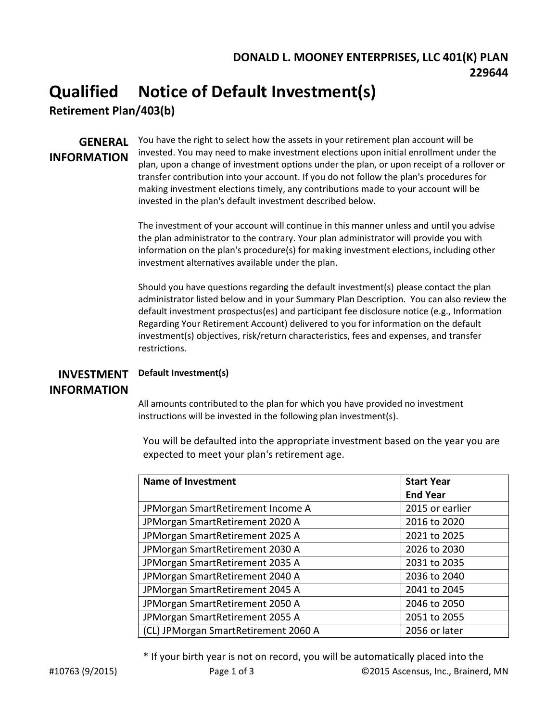### **DONALD L. MOONEY ENTERPRISES, LLC 401(K) PLAN 229644**

## **Qualified Notice of Default Investment(s)**

**Retirement Plan/403(b)**

# **INFORMATION**

**GENERAL** You have the right to select how the assets in your retirement plan account will be invested. You may need to make investment elections upon initial enrollment under the plan, upon a change of investment options under the plan, or upon receipt of a rollover or transfer contribution into your account. If you do not follow the plan's procedures for making investment elections timely, any contributions made to your account will be invested in the plan's default investment described below.

> The investment of your account will continue in this manner unless and until you advise the plan administrator to the contrary. Your plan administrator will provide you with information on the plan's procedure(s) for making investment elections, including other investment alternatives available under the plan.

Should you have questions regarding the default investment(s) please contact the plan administrator listed below and in your Summary Plan Description. You can also review the default investment prospectus(es) and participant fee disclosure notice (e.g., Information Regarding Your Retirement Account) delivered to you for information on the default investment(s) objectives, risk/return characteristics, fees and expenses, and transfer restrictions.

#### **INVESTMENT INFORMATION Default Investment(s)**

All amounts contributed to the plan for which you have provided no investment instructions will be invested in the following plan investment(s).

You will be defaulted into the appropriate investment based on the year you are expected to meet your plan's retirement age.

| <b>Name of Investment</b>            | <b>Start Year</b> |  |
|--------------------------------------|-------------------|--|
|                                      | <b>End Year</b>   |  |
| JPMorgan SmartRetirement Income A    | 2015 or earlier   |  |
| JPMorgan SmartRetirement 2020 A      | 2016 to 2020      |  |
| JPMorgan SmartRetirement 2025 A      | 2021 to 2025      |  |
| JPMorgan SmartRetirement 2030 A      | 2026 to 2030      |  |
| JPMorgan SmartRetirement 2035 A      | 2031 to 2035      |  |
| JPMorgan SmartRetirement 2040 A      | 2036 to 2040      |  |
| JPMorgan SmartRetirement 2045 A      | 2041 to 2045      |  |
| JPMorgan SmartRetirement 2050 A      | 2046 to 2050      |  |
| JPMorgan SmartRetirement 2055 A      | 2051 to 2055      |  |
| (CL) JPMorgan SmartRetirement 2060 A | 2056 or later     |  |

\* If your birth year is not on record, you will be automatically placed into the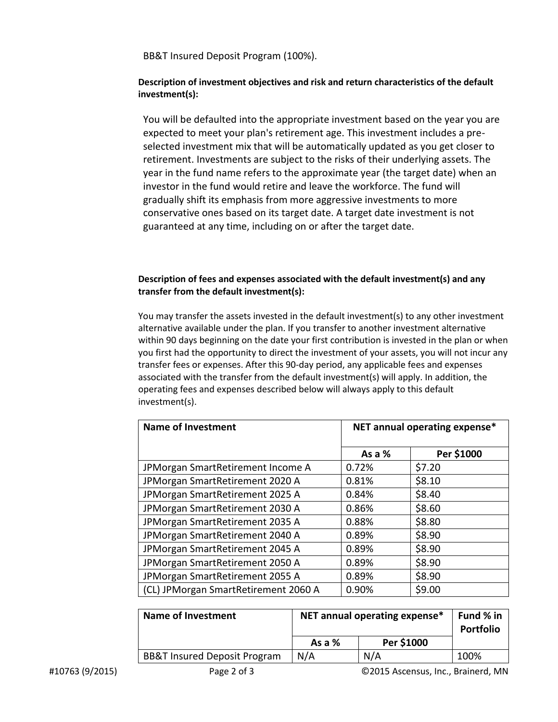BB&T Insured Deposit Program (100%).

#### **Description of investment objectives and risk and return characteristics of the default investment(s):**

You will be defaulted into the appropriate investment based on the year you are expected to meet your plan's retirement age. This investment includes a preselected investment mix that will be automatically updated as you get closer to retirement. Investments are subject to the risks of their underlying assets. The year in the fund name refers to the approximate year (the target date) when an investor in the fund would retire and leave the workforce. The fund will gradually shift its emphasis from more aggressive investments to more conservative ones based on its target date. A target date investment is not guaranteed at any time, including on or after the target date.

#### **Description of fees and expenses associated with the default investment(s) and any transfer from the default investment(s):**

You may transfer the assets invested in the default investment(s) to any other investment alternative available under the plan. If you transfer to another investment alternative within 90 days beginning on the date your first contribution is invested in the plan or when you first had the opportunity to direct the investment of your assets, you will not incur any transfer fees or expenses. After this 90-day period, any applicable fees and expenses associated with the transfer from the default investment(s) will apply. In addition, the operating fees and expenses described below will always apply to this default investment(s).

| <b>Name of Investment</b>            | NET annual operating expense* |            |
|--------------------------------------|-------------------------------|------------|
|                                      | As a %                        | Per \$1000 |
| JPMorgan SmartRetirement Income A    | 0.72%                         | \$7.20     |
| JPMorgan SmartRetirement 2020 A      | 0.81%                         | \$8.10     |
| JPMorgan SmartRetirement 2025 A      | 0.84%                         | \$8.40     |
| JPMorgan SmartRetirement 2030 A      | 0.86%                         | \$8.60     |
| JPMorgan SmartRetirement 2035 A      | 0.88%                         | \$8.80     |
| JPMorgan SmartRetirement 2040 A      | 0.89%                         | \$8.90     |
| JPMorgan SmartRetirement 2045 A      | 0.89%                         | \$8.90     |
| JPMorgan SmartRetirement 2050 A      | 0.89%                         | \$8.90     |
| JPMorgan SmartRetirement 2055 A      | 0.89%                         | \$8.90     |
| (CL) JPMorgan SmartRetirement 2060 A | 0.90%                         | \$9.00     |

| <b>Name of Investment</b>               | NET annual operating expense* |            | Fund % in<br><b>Portfolio</b> |
|-----------------------------------------|-------------------------------|------------|-------------------------------|
|                                         | As a $%$                      | Per \$1000 |                               |
| <b>BB&amp;T Insured Deposit Program</b> | N/A                           | N/A        | 100%                          |
|                                         |                               |            |                               |